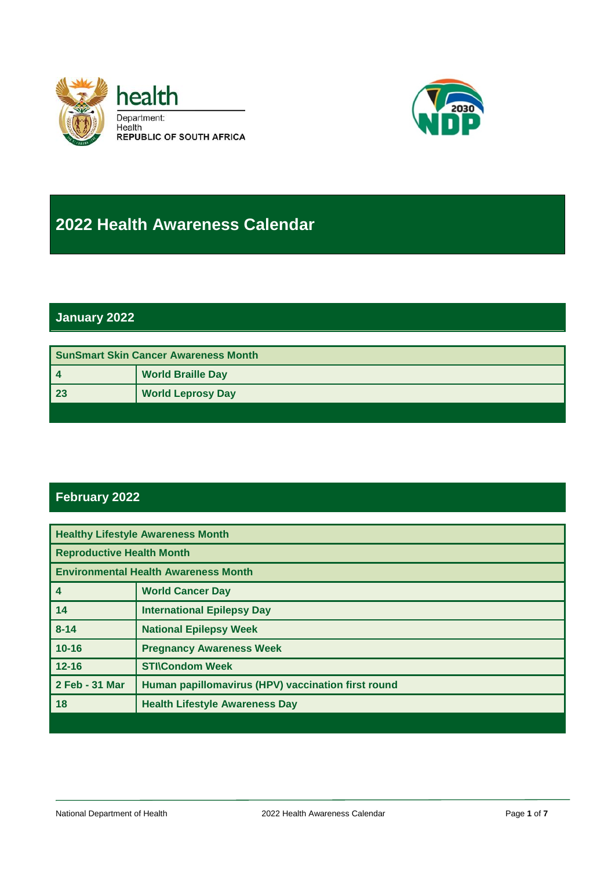



# **2022 Health Awareness Calendar**

#### **January 2022**

| <b>SunSmart Skin Cancer Awareness Month</b> |                          |
|---------------------------------------------|--------------------------|
|                                             | <b>World Braille Day</b> |
| 23                                          | <b>World Leprosy Day</b> |
|                                             |                          |

#### **February 2022**

| <b>Healthy Lifestyle Awareness Month</b>    |                                                    |
|---------------------------------------------|----------------------------------------------------|
| <b>Reproductive Health Month</b>            |                                                    |
| <b>Environmental Health Awareness Month</b> |                                                    |
| $\overline{4}$                              | <b>World Cancer Day</b>                            |
| 14                                          | <b>International Epilepsy Day</b>                  |
| $8 - 14$                                    | <b>National Epilepsy Week</b>                      |
| $10 - 16$                                   | <b>Pregnancy Awareness Week</b>                    |
| $12 - 16$                                   | <b>STI\Condom Week</b>                             |
| 2 Feb - 31 Mar                              | Human papillomavirus (HPV) vaccination first round |
| 18                                          | <b>Health Lifestyle Awareness Day</b>              |
|                                             |                                                    |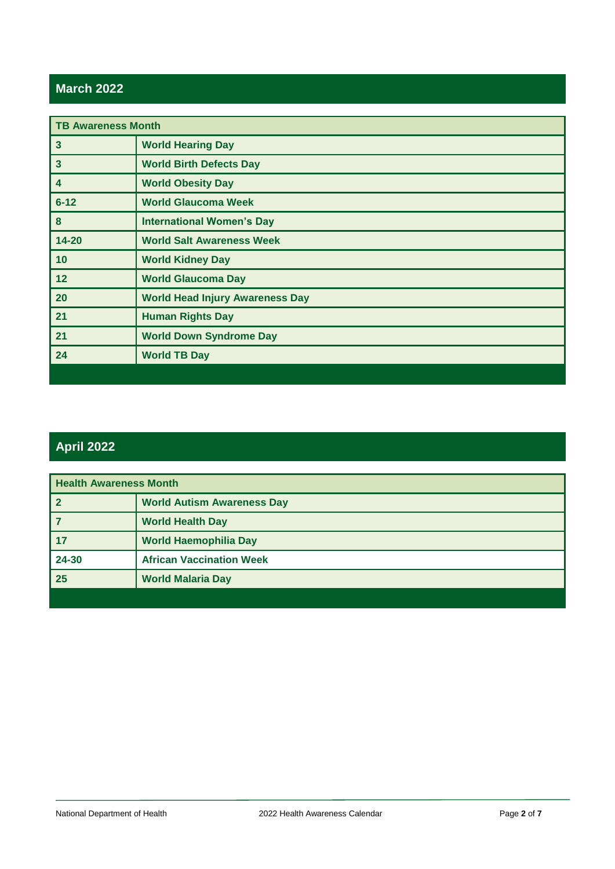#### **March 2022**

| <b>TB Awareness Month</b> |                                        |
|---------------------------|----------------------------------------|
| $\mathbf{3}$              | <b>World Hearing Day</b>               |
| $\overline{\mathbf{3}}$   | <b>World Birth Defects Day</b>         |
| 4                         | <b>World Obesity Day</b>               |
| $6 - 12$                  | <b>World Glaucoma Week</b>             |
| 8                         | <b>International Women's Day</b>       |
| $14 - 20$                 | <b>World Salt Awareness Week</b>       |
| 10                        | <b>World Kidney Day</b>                |
| 12                        | <b>World Glaucoma Day</b>              |
| 20                        | <b>World Head Injury Awareness Day</b> |
| 21                        | <b>Human Rights Day</b>                |
| 21                        | <b>World Down Syndrome Day</b>         |
| 24                        | <b>World TB Day</b>                    |
|                           |                                        |

### **April 2022**

| <b>Health Awareness Month</b> |                                   |
|-------------------------------|-----------------------------------|
| l 2                           | <b>World Autism Awareness Day</b> |
| 7                             | <b>World Health Day</b>           |
| 17                            | <b>World Haemophilia Day</b>      |
| 24-30                         | <b>African Vaccination Week</b>   |
| $\overline{25}$               | <b>World Malaria Day</b>          |
|                               |                                   |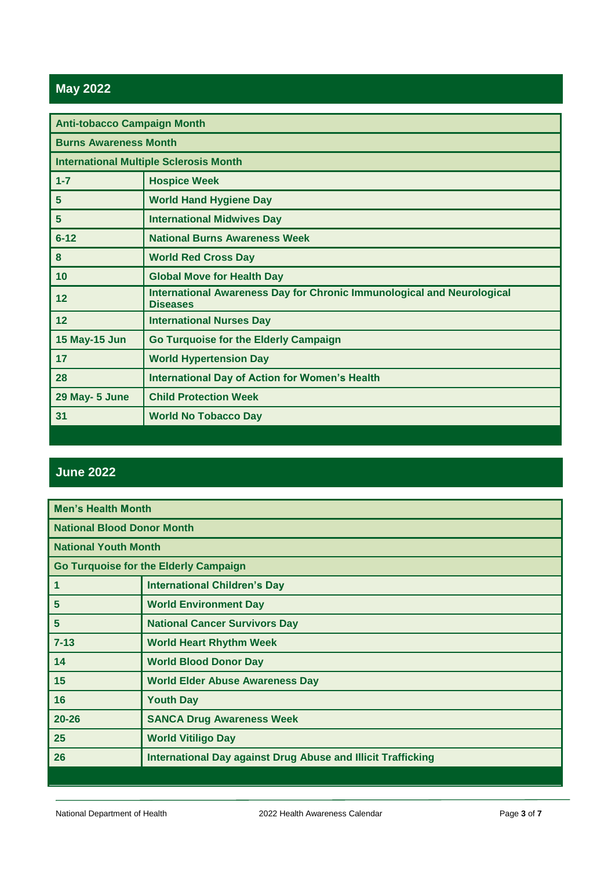## **May 2022**

| <b>Anti-tobacco Campaign Month</b>            |                                                                                                  |
|-----------------------------------------------|--------------------------------------------------------------------------------------------------|
| <b>Burns Awareness Month</b>                  |                                                                                                  |
| <b>International Multiple Sclerosis Month</b> |                                                                                                  |
| $1 - 7$                                       | <b>Hospice Week</b>                                                                              |
| 5                                             | <b>World Hand Hygiene Day</b>                                                                    |
| 5                                             | <b>International Midwives Day</b>                                                                |
| $6 - 12$                                      | <b>National Burns Awareness Week</b>                                                             |
| 8                                             | <b>World Red Cross Day</b>                                                                       |
| 10                                            | <b>Global Move for Health Day</b>                                                                |
| 12                                            | <b>International Awareness Day for Chronic Immunological and Neurological</b><br><b>Diseases</b> |
| 12                                            | <b>International Nurses Day</b>                                                                  |
| <b>15 May-15 Jun</b>                          | <b>Go Turquoise for the Elderly Campaign</b>                                                     |
| 17                                            | <b>World Hypertension Day</b>                                                                    |
| 28                                            | <b>International Day of Action for Women's Health</b>                                            |
| 29 May- 5 June                                | <b>Child Protection Week</b>                                                                     |
| 31                                            | <b>World No Tobacco Day</b>                                                                      |

#### **June 2022**

| <b>Men's Health Month</b>                    |                                                                     |
|----------------------------------------------|---------------------------------------------------------------------|
| <b>National Blood Donor Month</b>            |                                                                     |
| <b>National Youth Month</b>                  |                                                                     |
| <b>Go Turquoise for the Elderly Campaign</b> |                                                                     |
| $\mathbf 1$                                  | <b>International Children's Day</b>                                 |
| $\sqrt{5}$                                   | <b>World Environment Day</b>                                        |
| $\sqrt{5}$                                   | <b>National Cancer Survivors Day</b>                                |
| $7 - 13$                                     | <b>World Heart Rhythm Week</b>                                      |
| 14                                           | <b>World Blood Donor Day</b>                                        |
| 15                                           | <b>World Elder Abuse Awareness Day</b>                              |
| 16                                           | <b>Youth Day</b>                                                    |
| $20 - 26$                                    | <b>SANCA Drug Awareness Week</b>                                    |
| 25                                           | <b>World Vitiligo Day</b>                                           |
| 26                                           | <b>International Day against Drug Abuse and Illicit Trafficking</b> |
|                                              |                                                                     |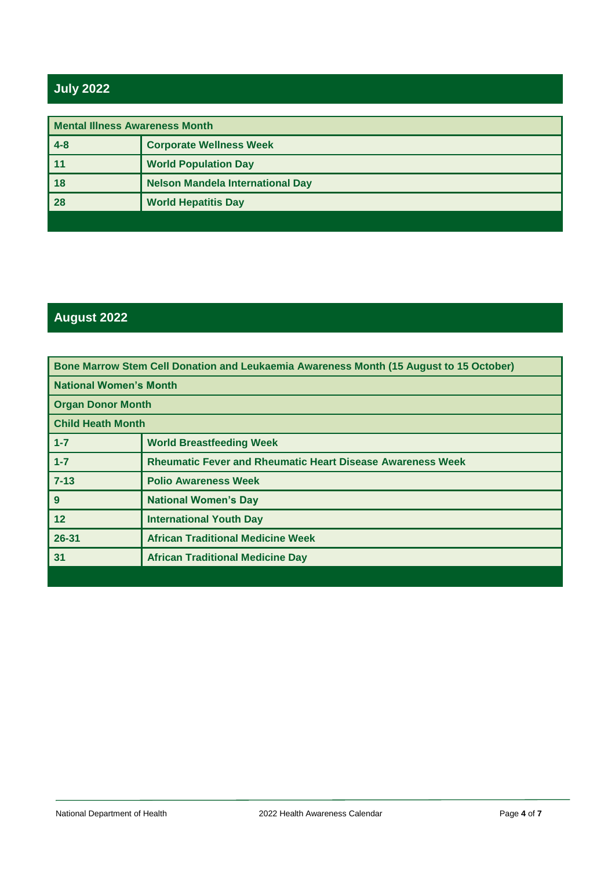## **July 2022**

| <b>Mental Illness Awareness Month</b> |                                         |
|---------------------------------------|-----------------------------------------|
| $ 4-8$                                | <b>Corporate Wellness Week</b>          |
| $\vert$ 11                            | <b>World Population Day</b>             |
| 18                                    | <b>Nelson Mandela International Day</b> |
| $\overline{\phantom{1}}$ 28           | <b>World Hepatitis Day</b>              |
|                                       |                                         |

## **August 2022**

| Bone Marrow Stem Cell Donation and Leukaemia Awareness Month (15 August to 15 October) |                                                                   |
|----------------------------------------------------------------------------------------|-------------------------------------------------------------------|
| <b>National Women's Month</b>                                                          |                                                                   |
| <b>Organ Donor Month</b>                                                               |                                                                   |
| <b>Child Heath Month</b>                                                               |                                                                   |
| $1 - 7$                                                                                | <b>World Breastfeeding Week</b>                                   |
| $1 - 7$                                                                                | <b>Rheumatic Fever and Rheumatic Heart Disease Awareness Week</b> |
| $7 - 13$                                                                               | <b>Polio Awareness Week</b>                                       |
| 9                                                                                      | <b>National Women's Day</b>                                       |
| $12 \overline{ }$                                                                      | <b>International Youth Day</b>                                    |
| 26-31                                                                                  | <b>African Traditional Medicine Week</b>                          |
| 31                                                                                     | <b>African Traditional Medicine Day</b>                           |
|                                                                                        |                                                                   |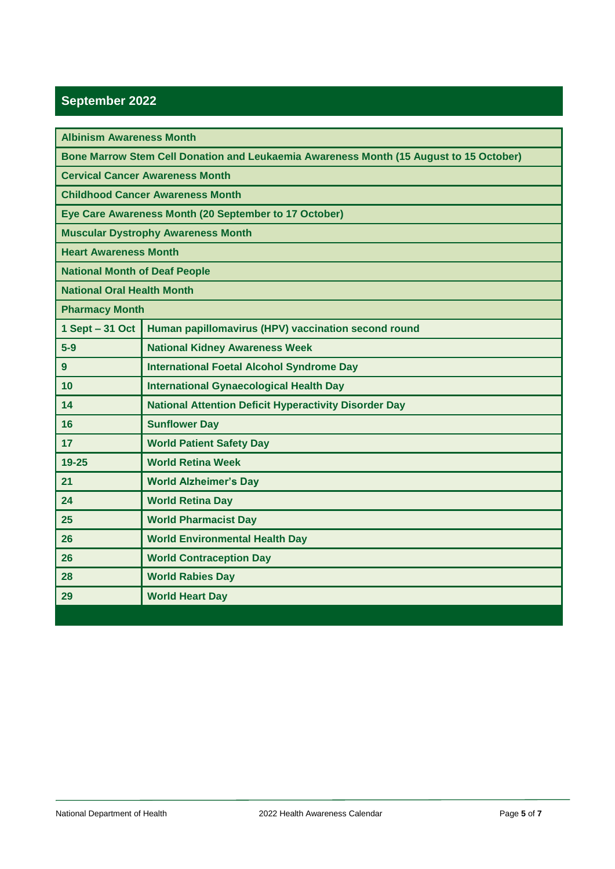### **September 2022**

| <b>Albinism Awareness Month</b>                                                        |                                                              |
|----------------------------------------------------------------------------------------|--------------------------------------------------------------|
| Bone Marrow Stem Cell Donation and Leukaemia Awareness Month (15 August to 15 October) |                                                              |
| <b>Cervical Cancer Awareness Month</b>                                                 |                                                              |
| <b>Childhood Cancer Awareness Month</b>                                                |                                                              |
| Eye Care Awareness Month (20 September to 17 October)                                  |                                                              |
| <b>Muscular Dystrophy Awareness Month</b>                                              |                                                              |
| <b>Heart Awareness Month</b>                                                           |                                                              |
| <b>National Month of Deaf People</b>                                                   |                                                              |
| <b>National Oral Health Month</b>                                                      |                                                              |
| <b>Pharmacy Month</b>                                                                  |                                                              |
| 1 Sept - 31 Oct                                                                        | Human papillomavirus (HPV) vaccination second round          |
| $5-9$                                                                                  | <b>National Kidney Awareness Week</b>                        |
| 9                                                                                      | <b>International Foetal Alcohol Syndrome Day</b>             |
| 10                                                                                     | <b>International Gynaecological Health Day</b>               |
| 14                                                                                     | <b>National Attention Deficit Hyperactivity Disorder Day</b> |
| 16                                                                                     | <b>Sunflower Day</b>                                         |
| 17                                                                                     | <b>World Patient Safety Day</b>                              |
| $19 - 25$                                                                              | <b>World Retina Week</b>                                     |
| 21                                                                                     | <b>World Alzheimer's Day</b>                                 |
| 24                                                                                     | <b>World Retina Day</b>                                      |
| 25                                                                                     | <b>World Pharmacist Day</b>                                  |
| 26                                                                                     | <b>World Environmental Health Day</b>                        |
| 26                                                                                     | <b>World Contraception Day</b>                               |
| 28                                                                                     | <b>World Rabies Day</b>                                      |
| 29                                                                                     | <b>World Heart Day</b>                                       |
|                                                                                        |                                                              |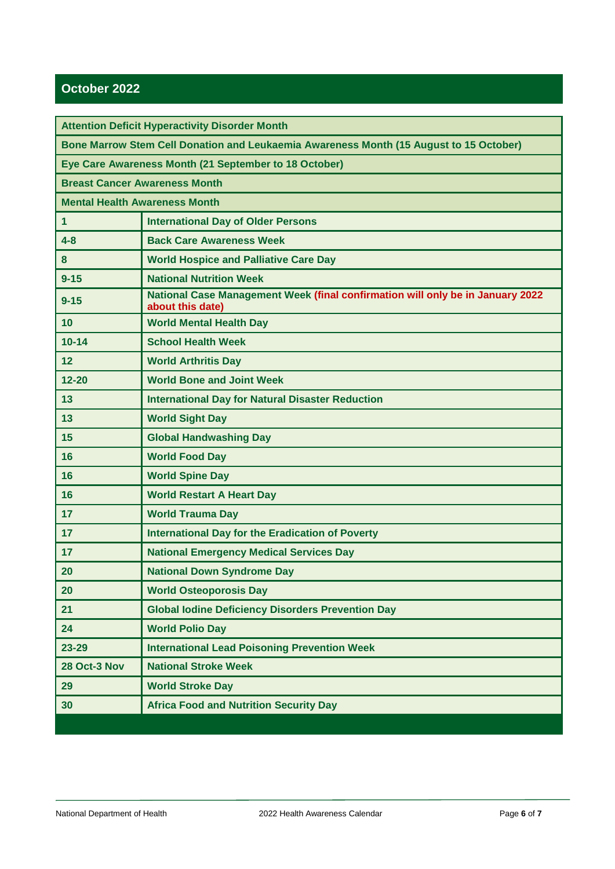#### **October 2022**

| <b>Attention Deficit Hyperactivity Disorder Month</b>                                  |                                                                                                    |
|----------------------------------------------------------------------------------------|----------------------------------------------------------------------------------------------------|
| Bone Marrow Stem Cell Donation and Leukaemia Awareness Month (15 August to 15 October) |                                                                                                    |
| Eye Care Awareness Month (21 September to 18 October)                                  |                                                                                                    |
| <b>Breast Cancer Awareness Month</b>                                                   |                                                                                                    |
| <b>Mental Health Awareness Month</b>                                                   |                                                                                                    |
| $\mathbf{1}$                                                                           | <b>International Day of Older Persons</b>                                                          |
| $4 - 8$                                                                                | <b>Back Care Awareness Week</b>                                                                    |
| 8                                                                                      | <b>World Hospice and Palliative Care Day</b>                                                       |
| $9 - 15$                                                                               | <b>National Nutrition Week</b>                                                                     |
| $9 - 15$                                                                               | National Case Management Week (final confirmation will only be in January 2022<br>about this date) |
| 10                                                                                     | <b>World Mental Health Day</b>                                                                     |
| $10 - 14$                                                                              | <b>School Health Week</b>                                                                          |
| 12                                                                                     | <b>World Arthritis Day</b>                                                                         |
| $12 - 20$                                                                              | <b>World Bone and Joint Week</b>                                                                   |
| 13                                                                                     | <b>International Day for Natural Disaster Reduction</b>                                            |
| 13                                                                                     | <b>World Sight Day</b>                                                                             |
| 15                                                                                     | <b>Global Handwashing Day</b>                                                                      |
| 16                                                                                     | <b>World Food Day</b>                                                                              |
| 16                                                                                     | <b>World Spine Day</b>                                                                             |
| 16                                                                                     | <b>World Restart A Heart Day</b>                                                                   |
| 17                                                                                     | <b>World Trauma Day</b>                                                                            |
| 17                                                                                     | <b>International Day for the Eradication of Poverty</b>                                            |
| 17                                                                                     | <b>National Emergency Medical Services Day</b>                                                     |
| 20                                                                                     | <b>National Down Syndrome Day</b>                                                                  |
| 20                                                                                     | <b>World Osteoporosis Day</b>                                                                      |
| 21                                                                                     | <b>Global lodine Deficiency Disorders Prevention Day</b>                                           |
| 24                                                                                     | <b>World Polio Day</b>                                                                             |
| 23-29                                                                                  | <b>International Lead Poisoning Prevention Week</b>                                                |
| 28 Oct-3 Nov                                                                           | <b>National Stroke Week</b>                                                                        |
| 29                                                                                     | <b>World Stroke Day</b>                                                                            |
| 30                                                                                     | <b>Africa Food and Nutrition Security Day</b>                                                      |
|                                                                                        |                                                                                                    |